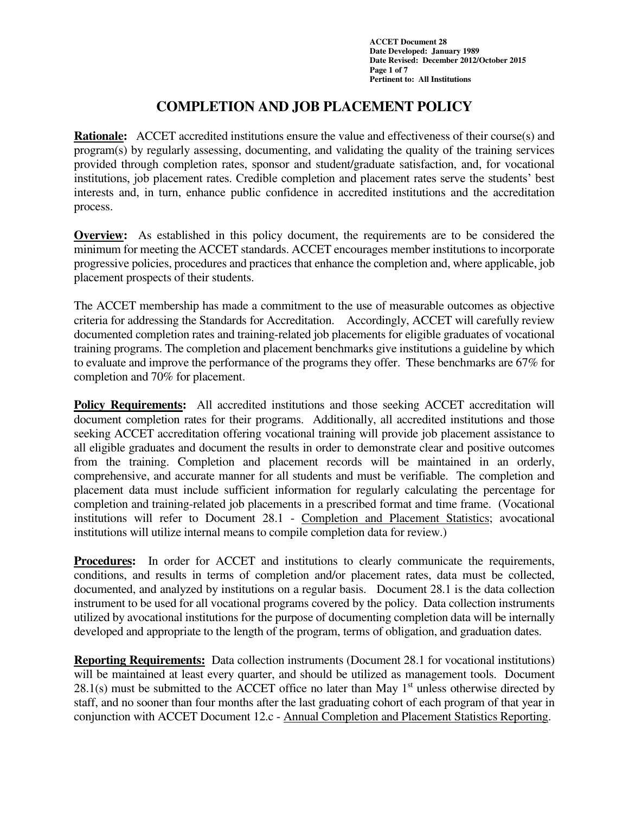**ACCET Document 28 Date Developed: January 1989 Date Revised: December 2012/October 2015 Page 1 of 7 Pertinent to: All Institutions** 

# **COMPLETION AND JOB PLACEMENT POLICY**

**Rationale:** ACCET accredited institutions ensure the value and effectiveness of their course(s) and program(s) by regularly assessing, documenting, and validating the quality of the training services provided through completion rates, sponsor and student/graduate satisfaction, and, for vocational institutions, job placement rates. Credible completion and placement rates serve the students' best interests and, in turn, enhance public confidence in accredited institutions and the accreditation process.

**Overview:** As established in this policy document, the requirements are to be considered the minimum for meeting the ACCET standards. ACCET encourages member institutions to incorporate progressive policies, procedures and practices that enhance the completion and, where applicable, job placement prospects of their students.

The ACCET membership has made a commitment to the use of measurable outcomes as objective criteria for addressing the Standards for Accreditation. Accordingly, ACCET will carefully review documented completion rates and training-related job placements for eligible graduates of vocational training programs. The completion and placement benchmarks give institutions a guideline by which to evaluate and improve the performance of the programs they offer. These benchmarks are 67% for completion and 70% for placement.

**Policy Requirements:** All accredited institutions and those seeking ACCET accreditation will document completion rates for their programs. Additionally, all accredited institutions and those seeking ACCET accreditation offering vocational training will provide job placement assistance to all eligible graduates and document the results in order to demonstrate clear and positive outcomes from the training. Completion and placement records will be maintained in an orderly, comprehensive, and accurate manner for all students and must be verifiable. The completion and placement data must include sufficient information for regularly calculating the percentage for completion and training-related job placements in a prescribed format and time frame. (Vocational institutions will refer to Document 28.1 - Completion and Placement Statistics; avocational institutions will utilize internal means to compile completion data for review.)

**Procedures:** In order for ACCET and institutions to clearly communicate the requirements, conditions, and results in terms of completion and/or placement rates, data must be collected, documented, and analyzed by institutions on a regular basis. Document 28.1 is the data collection instrument to be used for all vocational programs covered by the policy. Data collection instruments utilized by avocational institutions for the purpose of documenting completion data will be internally developed and appropriate to the length of the program, terms of obligation, and graduation dates.

**Reporting Requirements:** Data collection instruments (Document 28.1 for vocational institutions) will be maintained at least every quarter, and should be utilized as management tools. Document 28.1(s) must be submitted to the ACCET office no later than May  $1<sup>st</sup>$  unless otherwise directed by staff, and no sooner than four months after the last graduating cohort of each program of that year in conjunction with ACCET Document 12.c - Annual Completion and Placement Statistics Reporting.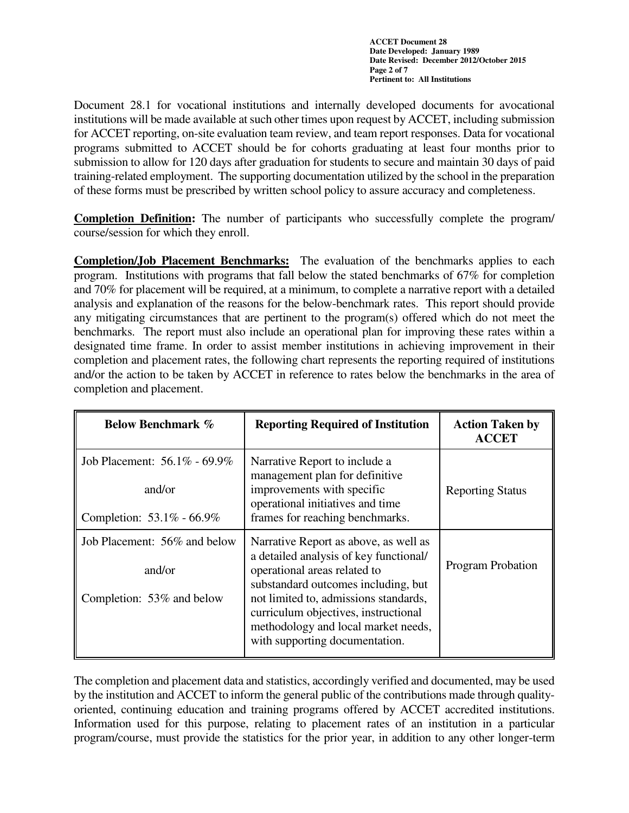**ACCET Document 28 Date Developed: January 1989 Date Revised: December 2012/October 2015 Page 2 of 7 Pertinent to: All Institutions** 

Document 28.1 for vocational institutions and internally developed documents for avocational institutions will be made available at such other times upon request by ACCET, including submission for ACCET reporting, on-site evaluation team review, and team report responses. Data for vocational programs submitted to ACCET should be for cohorts graduating at least four months prior to submission to allow for 120 days after graduation for students to secure and maintain 30 days of paid training-related employment. The supporting documentation utilized by the school in the preparation of these forms must be prescribed by written school policy to assure accuracy and completeness.

**Completion Definition:** The number of participants who successfully complete the program/ course/session for which they enroll.

**Completion/Job Placement Benchmarks:** The evaluation of the benchmarks applies to each program. Institutions with programs that fall below the stated benchmarks of 67% for completion and 70% for placement will be required, at a minimum, to complete a narrative report with a detailed analysis and explanation of the reasons for the below-benchmark rates. This report should provide any mitigating circumstances that are pertinent to the program(s) offered which do not meet the benchmarks. The report must also include an operational plan for improving these rates within a designated time frame. In order to assist member institutions in achieving improvement in their completion and placement rates, the following chart represents the reporting required of institutions and/or the action to be taken by ACCET in reference to rates below the benchmarks in the area of completion and placement.

| <b>Below Benchmark %</b>                                            | <b>Reporting Required of Institution</b>                                                                                                                                                                                                                                                                         | <b>Action Taken by</b><br><b>ACCET</b> |
|---------------------------------------------------------------------|------------------------------------------------------------------------------------------------------------------------------------------------------------------------------------------------------------------------------------------------------------------------------------------------------------------|----------------------------------------|
| Job Placement: 56.1% - 69.9%<br>and/or<br>Completion: 53.1% - 66.9% | Narrative Report to include a<br>management plan for definitive<br>improvements with specific<br>operational initiatives and time<br>frames for reaching benchmarks.                                                                                                                                             | <b>Reporting Status</b>                |
| Job Placement: 56% and below<br>and/or<br>Completion: 53% and below | Narrative Report as above, as well as<br>a detailed analysis of key functional/<br>operational areas related to<br>substandard outcomes including, but<br>not limited to, admissions standards,<br>curriculum objectives, instructional<br>methodology and local market needs,<br>with supporting documentation. | <b>Program Probation</b>               |

The completion and placement data and statistics, accordingly verified and documented, may be used by the institution and ACCET to inform the general public of the contributions made through qualityoriented, continuing education and training programs offered by ACCET accredited institutions. Information used for this purpose, relating to placement rates of an institution in a particular program/course, must provide the statistics for the prior year, in addition to any other longer-term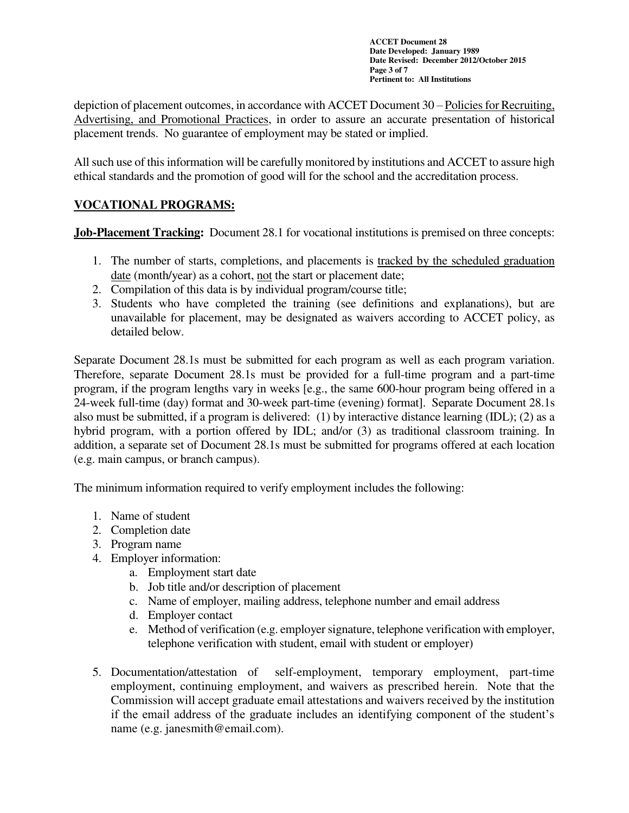**ACCET Document 28 Date Developed: January 1989 Date Revised: December 2012/October 2015 Page 3 of 7 Pertinent to: All Institutions** 

depiction of placement outcomes, in accordance with ACCET Document 30 – Policies for Recruiting, Advertising, and Promotional Practices, in order to assure an accurate presentation of historical placement trends. No guarantee of employment may be stated or implied.

All such use of this information will be carefully monitored by institutions and ACCET to assure high ethical standards and the promotion of good will for the school and the accreditation process.

## **VOCATIONAL PROGRAMS:**

**Job-Placement Tracking:** Document 28.1 for vocational institutions is premised on three concepts:

- 1. The number of starts, completions, and placements is tracked by the scheduled graduation date (month/year) as a cohort, not the start or placement date;
- 2. Compilation of this data is by individual program/course title;
- 3. Students who have completed the training (see definitions and explanations), but are unavailable for placement, may be designated as waivers according to ACCET policy, as detailed below.

Separate Document 28.1s must be submitted for each program as well as each program variation. Therefore, separate Document 28.1s must be provided for a full-time program and a part-time program, if the program lengths vary in weeks [e.g., the same 600-hour program being offered in a 24-week full-time (day) format and 30-week part-time (evening) format]. Separate Document 28.1s also must be submitted, if a program is delivered: (1) by interactive distance learning (IDL); (2) as a hybrid program, with a portion offered by IDL; and/or (3) as traditional classroom training. In addition, a separate set of Document 28.1s must be submitted for programs offered at each location (e.g. main campus, or branch campus).

The minimum information required to verify employment includes the following:

- 1. Name of student
- 2. Completion date
- 3. Program name
- 4. Employer information:
	- a. Employment start date
	- b. Job title and/or description of placement
	- c. Name of employer, mailing address, telephone number and email address
	- d. Employer contact
	- e. Method of verification (e.g. employer signature, telephone verification with employer, telephone verification with student, email with student or employer)
- 5. Documentation/attestation of self-employment, temporary employment, part-time employment, continuing employment, and waivers as prescribed herein. Note that the Commission will accept graduate email attestations and waivers received by the institution if the email address of the graduate includes an identifying component of the student's name (e.g. janesmith@email.com).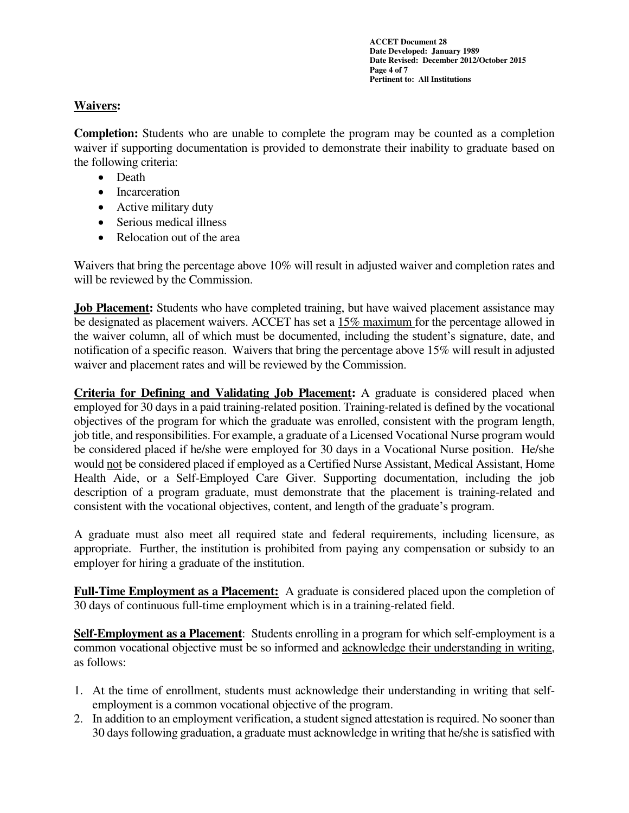**ACCET Document 28 Date Developed: January 1989 Date Revised: December 2012/October 2015 Page 4 of 7 Pertinent to: All Institutions** 

### **Waivers:**

**Completion:** Students who are unable to complete the program may be counted as a completion waiver if supporting documentation is provided to demonstrate their inability to graduate based on the following criteria:

- Death
- Incarceration
- Active military duty
- Serious medical illness
- Relocation out of the area

Waivers that bring the percentage above 10% will result in adjusted waiver and completion rates and will be reviewed by the Commission.

**Job Placement:** Students who have completed training, but have waived placement assistance may be designated as placement waivers. ACCET has set a 15% maximum for the percentage allowed in the waiver column, all of which must be documented, including the student's signature, date, and notification of a specific reason. Waivers that bring the percentage above 15% will result in adjusted waiver and placement rates and will be reviewed by the Commission.

**Criteria for Defining and Validating Job Placement:** A graduate is considered placed when employed for 30 days in a paid training-related position. Training-related is defined by the vocational objectives of the program for which the graduate was enrolled, consistent with the program length, job title, and responsibilities. For example, a graduate of a Licensed Vocational Nurse program would be considered placed if he/she were employed for 30 days in a Vocational Nurse position. He/she would not be considered placed if employed as a Certified Nurse Assistant, Medical Assistant, Home Health Aide, or a Self-Employed Care Giver. Supporting documentation, including the job description of a program graduate, must demonstrate that the placement is training-related and consistent with the vocational objectives, content, and length of the graduate's program.

A graduate must also meet all required state and federal requirements, including licensure, as appropriate. Further, the institution is prohibited from paying any compensation or subsidy to an employer for hiring a graduate of the institution.

**Full-Time Employment as a Placement:** A graduate is considered placed upon the completion of 30 days of continuous full-time employment which is in a training-related field.

**Self-Employment as a Placement**: Students enrolling in a program for which self-employment is a common vocational objective must be so informed and acknowledge their understanding in writing, as follows:

- 1. At the time of enrollment, students must acknowledge their understanding in writing that selfemployment is a common vocational objective of the program.
- 2. In addition to an employment verification, a student signed attestation is required. No sooner than 30 days following graduation, a graduate must acknowledge in writing that he/she is satisfied with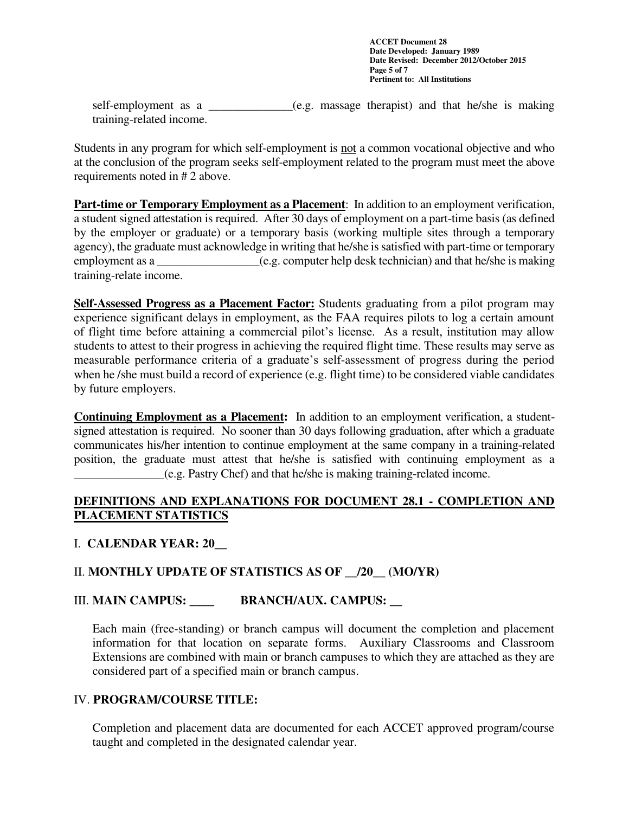**ACCET Document 28 Date Developed: January 1989 Date Revised: December 2012/October 2015 Page 5 of 7 Pertinent to: All Institutions** 

self-employment as a \_\_\_\_\_\_\_\_\_\_\_\_\_\_(e.g. massage therapist) and that he/she is making training-related income.

Students in any program for which self-employment is not a common vocational objective and who at the conclusion of the program seeks self-employment related to the program must meet the above requirements noted in # 2 above.

**Part-time or Temporary Employment as a Placement**: In addition to an employment verification, a student signed attestation is required. After 30 days of employment on a part-time basis (as defined by the employer or graduate) or a temporary basis (working multiple sites through a temporary agency), the graduate must acknowledge in writing that he/she is satisfied with part-time or temporary employment as a  $(e.g.$  computer help desk technician) and that he/she is making training-relate income.

**Self-Assessed Progress as a Placement Factor:** Students graduating from a pilot program may experience significant delays in employment, as the FAA requires pilots to log a certain amount of flight time before attaining a commercial pilot's license. As a result, institution may allow students to attest to their progress in achieving the required flight time. These results may serve as measurable performance criteria of a graduate's self-assessment of progress during the period when he /she must build a record of experience (e.g. flight time) to be considered viable candidates by future employers.

**Continuing Employment as a Placement:** In addition to an employment verification, a studentsigned attestation is required. No sooner than 30 days following graduation, after which a graduate communicates his/her intention to continue employment at the same company in a training-related position, the graduate must attest that he/she is satisfied with continuing employment as a \_\_\_\_\_\_\_\_\_\_\_\_\_\_\_(e.g. Pastry Chef) and that he/she is making training-related income.

### **DEFINITIONS AND EXPLANATIONS FOR DOCUMENT 28.1 - COMPLETION AND PLACEMENT STATISTICS**

# I. **CALENDAR YEAR: 20\_\_**

### II. **MONTHLY UPDATE OF STATISTICS AS OF \_\_/20\_\_ (MO/YR)**

### **III. MAIN CAMPUS: BRANCH/AUX. CAMPUS:**

Each main (free-standing) or branch campus will document the completion and placement information for that location on separate forms. Auxiliary Classrooms and Classroom Extensions are combined with main or branch campuses to which they are attached as they are considered part of a specified main or branch campus.

### IV. **PROGRAM/COURSE TITLE:**

Completion and placement data are documented for each ACCET approved program/course taught and completed in the designated calendar year.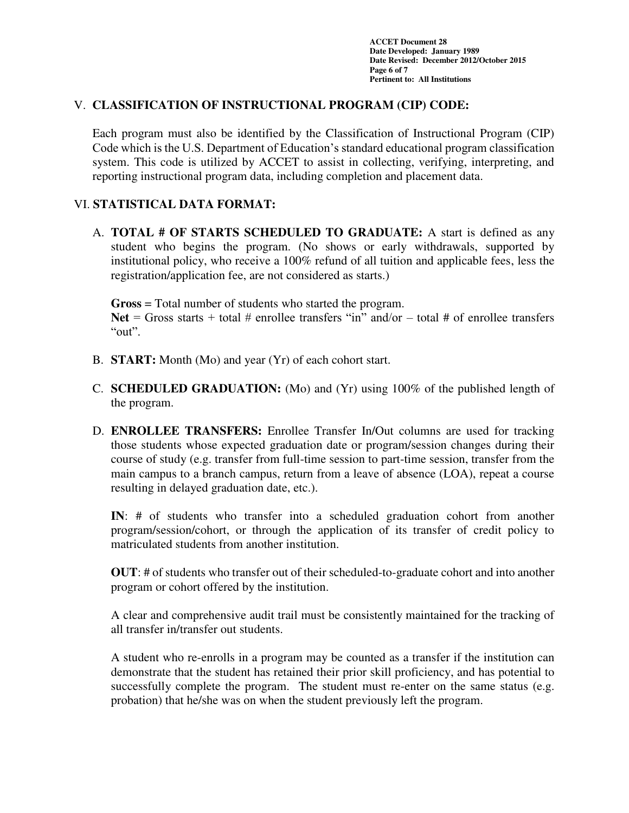**ACCET Document 28 Date Developed: January 1989 Date Revised: December 2012/October 2015 Page 6 of 7 Pertinent to: All Institutions** 

#### V. **CLASSIFICATION OF INSTRUCTIONAL PROGRAM (CIP) CODE:**

Each program must also be identified by the Classification of Instructional Program (CIP) Code which is the U.S. Department of Education's standard educational program classification system. This code is utilized by ACCET to assist in collecting, verifying, interpreting, and reporting instructional program data, including completion and placement data.

### VI. **STATISTICAL DATA FORMAT:**

A. **TOTAL # OF STARTS SCHEDULED TO GRADUATE:** A start is defined as any student who begins the program. (No shows or early withdrawals, supported by institutional policy, who receive a 100% refund of all tuition and applicable fees, less the registration/application fee, are not considered as starts.)

**Gross** = Total number of students who started the program.

Net  $=$  Gross starts  $+$  total  $\#$  enrollee transfers "in" and/or  $-$  total  $\#$  of enrollee transfers "out".

- B. **START:** Month (Mo) and year (Yr) of each cohort start.
- C. **SCHEDULED GRADUATION:** (Mo) and (Yr) using 100% of the published length of the program.
- D. **ENROLLEE TRANSFERS:** Enrollee Transfer In/Out columns are used for tracking those students whose expected graduation date or program/session changes during their course of study (e.g. transfer from full-time session to part-time session, transfer from the main campus to a branch campus, return from a leave of absence (LOA), repeat a course resulting in delayed graduation date, etc.).

**IN**: # of students who transfer into a scheduled graduation cohort from another program/session/cohort, or through the application of its transfer of credit policy to matriculated students from another institution.

**OUT**: # of students who transfer out of their scheduled-to-graduate cohort and into another program or cohort offered by the institution.

A clear and comprehensive audit trail must be consistently maintained for the tracking of all transfer in/transfer out students.

A student who re-enrolls in a program may be counted as a transfer if the institution can demonstrate that the student has retained their prior skill proficiency, and has potential to successfully complete the program. The student must re-enter on the same status (e.g. probation) that he/she was on when the student previously left the program.